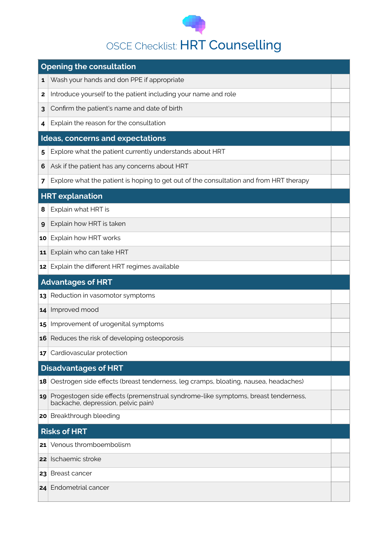

## OSCE Checklist: HRT Counselling

|                          | <b>Opening the consultation</b>                                                                                            |  |  |  |
|--------------------------|----------------------------------------------------------------------------------------------------------------------------|--|--|--|
| 1                        | Wash your hands and don PPE if appropriate                                                                                 |  |  |  |
| 2                        | Introduce yourself to the patient including your name and role                                                             |  |  |  |
| 3                        | Confirm the patient's name and date of birth                                                                               |  |  |  |
| 4                        | Explain the reason for the consultation                                                                                    |  |  |  |
|                          | Ideas, concerns and expectations                                                                                           |  |  |  |
| 5                        | Explore what the patient currently understands about HRT                                                                   |  |  |  |
| 6                        | Ask if the patient has any concerns about HRT                                                                              |  |  |  |
| 7                        | Explore what the patient is hoping to get out of the consultation and from HRT therapy                                     |  |  |  |
|                          | <b>HRT</b> explanation                                                                                                     |  |  |  |
| 8                        | Explain what HRT is                                                                                                        |  |  |  |
| 9                        | Explain how HRT is taken                                                                                                   |  |  |  |
| 10                       | Explain how HRT works                                                                                                      |  |  |  |
| 11                       | Explain who can take HRT                                                                                                   |  |  |  |
| 12                       | Explain the different HRT regimes available                                                                                |  |  |  |
| <b>Advantages of HRT</b> |                                                                                                                            |  |  |  |
|                          |                                                                                                                            |  |  |  |
| 13                       | Reduction in vasomotor symptoms                                                                                            |  |  |  |
| 14                       | Improved mood                                                                                                              |  |  |  |
| 15                       | Improvement of urogenital symptoms                                                                                         |  |  |  |
| 16                       | Reduces the risk of developing osteoporosis                                                                                |  |  |  |
| 17                       | Cardiovascular protection                                                                                                  |  |  |  |
|                          | <b>Disadvantages of HRT</b>                                                                                                |  |  |  |
| 18                       | Oestrogen side effects (breast tenderness, leg cramps, bloating, nausea, headaches)                                        |  |  |  |
|                          | 19 Progestogen side effects (premenstrual syndrome-like symptoms, breast tenderness,<br>backache, depression, pelvic pain) |  |  |  |
|                          | 20 Breakthrough bleeding                                                                                                   |  |  |  |
|                          | <b>Risks of HRT</b>                                                                                                        |  |  |  |
| 21                       | Venous thromboembolism                                                                                                     |  |  |  |
| 22                       | Ischaemic stroke                                                                                                           |  |  |  |
| 23                       | <b>Breast cancer</b>                                                                                                       |  |  |  |